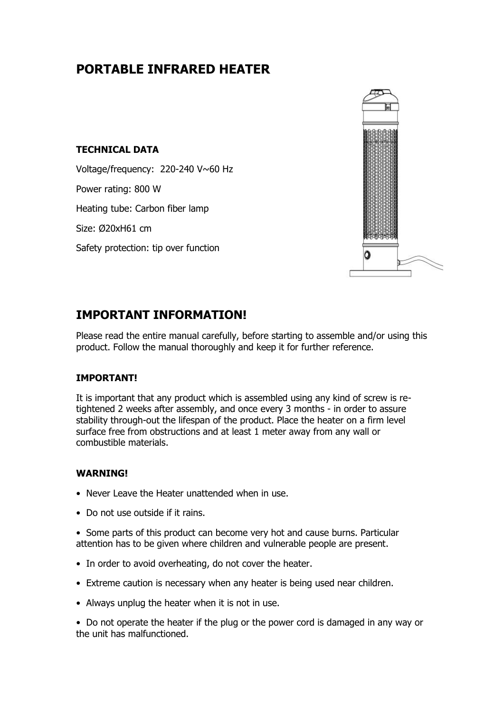# **PORTABLE INFRARED HEATER**

## **TECHNICAL DATA**

Voltage/frequency: 220-240 V~60 Hz Power rating: 800 W Heating tube: Carbon fiber lamp Size: Ø20xH61 cm Safety protection: tip over function



## **IMPORTANT INFORMATION!**

Please read the entire manual carefully, before starting to assemble and/or using this product. Follow the manual thoroughly and keep it for further reference.

## **IMPORTANT!**

It is important that any product which is assembled using any kind of screw is retightened 2 weeks after assembly, and once every 3 months - in order to assure stability through-out the lifespan of the product. Place the heater on a firm level surface free from obstructions and at least 1 meter away from any wall or combustible materials.

#### **WARNING!**

- Never Leave the Heater unattended when in use.
- Do not use outside if it rains.
- Some parts of this product can become very hot and cause burns. Particular attention has to be given where children and vulnerable people are present.
- In order to avoid overheating, do not cover the heater.
- Extreme caution is necessary when any heater is being used near children.
- Always unplug the heater when it is not in use.

• Do not operate the heater if the plug or the power cord is damaged in any way or the unit has malfunctioned.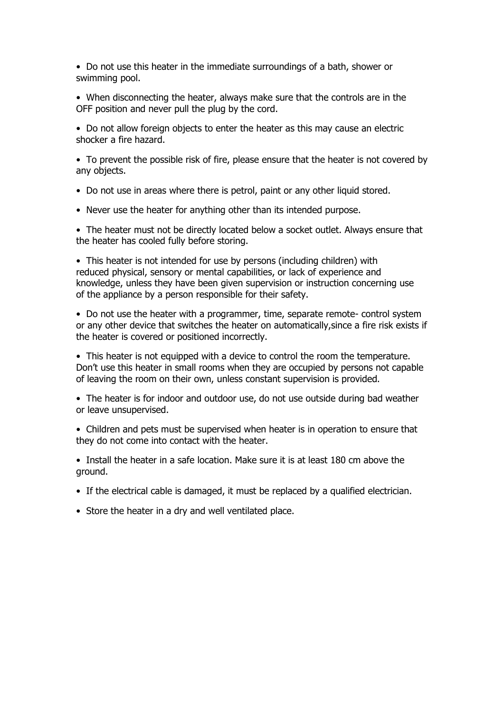• Do not use this heater in the immediate surroundings of a bath, shower or swimming pool.

• When disconnecting the heater, always make sure that the controls are in the OFF position and never pull the plug by the cord.

• Do not allow foreign objects to enter the heater as this may cause an electric shocker a fire hazard.

• To prevent the possible risk of fire, please ensure that the heater is not covered by any objects.

- Do not use in areas where there is petrol, paint or any other liquid stored.
- Never use the heater for anything other than its intended purpose.

• The heater must not be directly located below a socket outlet. Always ensure that the heater has cooled fully before storing.

• This heater is not intended for use by persons (including children) with reduced physical, sensory or mental capabilities, or lack of experience and knowledge, unless they have been given supervision or instruction concerning use of the appliance by a person responsible for their safety.

• Do not use the heater with a programmer, time, separate remote- control system or any other device that switches the heater on automatically,since a fire risk exists if the heater is covered or positioned incorrectly.

• This heater is not equipped with a device to control the room the temperature. Don't use this heater in small rooms when they are occupied by persons not capable of leaving the room on their own, unless constant supervision is provided.

- The heater is for indoor and outdoor use, do not use outside during bad weather or leave unsupervised.
- Children and pets must be supervised when heater is in operation to ensure that they do not come into contact with the heater.

• Install the heater in a safe location. Make sure it is at least 180 cm above the ground.

- If the electrical cable is damaged, it must be replaced by a qualified electrician.
- Store the heater in a dry and well ventilated place.